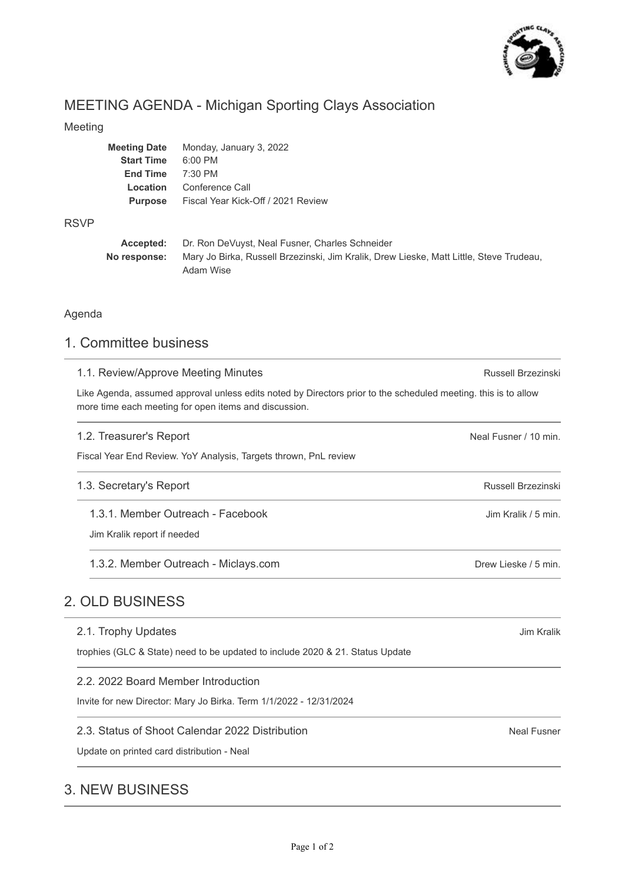

# MEETING AGENDA - Michigan Sporting Clays Association

### Meeting

| Meeting Date      | Monday, January 3, 2022            |
|-------------------|------------------------------------|
| <b>Start Time</b> | $6:00$ PM                          |
| <b>End Time</b>   | $7:30$ PM                          |
| Location          | Conference Call                    |
| <b>Purpose</b>    | Fiscal Year Kick-Off / 2021 Review |
|                   |                                    |

### RSVP

| Accepted:    | Dr. Ron DeVuyst, Neal Fusner, Charles Schneider                                         |  |  |
|--------------|-----------------------------------------------------------------------------------------|--|--|
| No response: | Mary Jo Birka, Russell Brzezinski, Jim Kralik, Drew Lieske, Matt Little, Steve Trudeau, |  |  |
|              | Adam Wise                                                                               |  |  |

## Agenda

# 1. Committee business

| 1.1. Review/Approve Meeting Minutes                                                                                                                                     | Russell Brzezinski    |  |  |
|-------------------------------------------------------------------------------------------------------------------------------------------------------------------------|-----------------------|--|--|
| Like Agenda, assumed approval unless edits noted by Directors prior to the scheduled meeting. this is to allow<br>more time each meeting for open items and discussion. |                       |  |  |
| 1.2. Treasurer's Report                                                                                                                                                 | Neal Fusner / 10 min. |  |  |
| Fiscal Year End Review. YoY Analysis, Targets thrown, PnL review                                                                                                        |                       |  |  |
| 1.3. Secretary's Report                                                                                                                                                 | Russell Brzezinski    |  |  |
| 1.3.1. Member Outreach - Facebook                                                                                                                                       | Jim Kralik / 5 min.   |  |  |
| Jim Kralik report if needed                                                                                                                                             |                       |  |  |
| 1.3.2. Member Outreach - Miclays.com                                                                                                                                    | Drew Lieske / 5 min.  |  |  |
| 2. OLD BUSINESS                                                                                                                                                         |                       |  |  |
| 2.1. Trophy Updates                                                                                                                                                     | Jim Kralik            |  |  |
| trophies (GLC & State) need to be updated to include 2020 & 21. Status Update                                                                                           |                       |  |  |
| 2.2. 2022 Board Member Introduction                                                                                                                                     |                       |  |  |
| Invite for new Director: Mary Jo Birka. Term 1/1/2022 - 12/31/2024                                                                                                      |                       |  |  |
| 2.3. Status of Shoot Calendar 2022 Distribution                                                                                                                         | <b>Neal Fusner</b>    |  |  |
| Update on printed card distribution - Neal                                                                                                                              |                       |  |  |

# 3. NEW BUSINESS